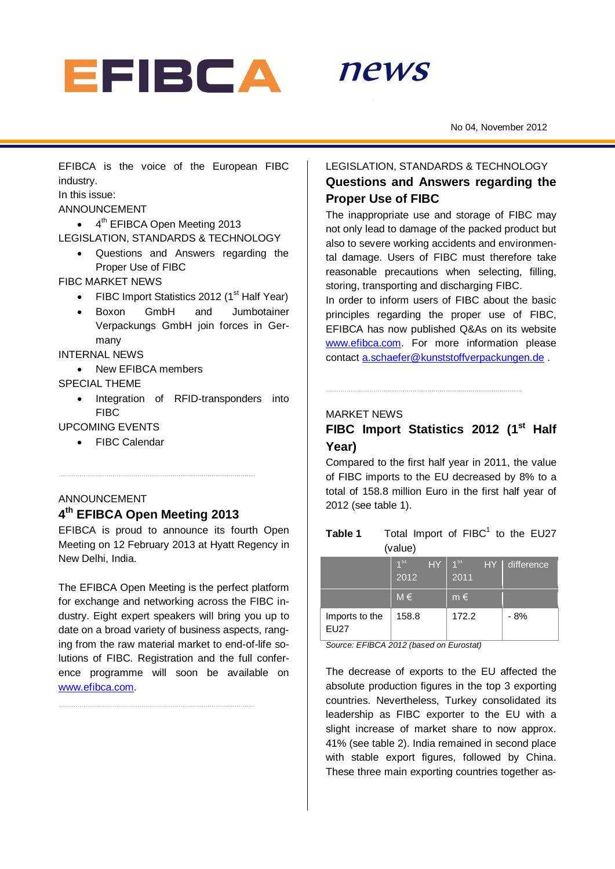



No 04, November 2012

EFIBCA is the voice of the European FIBC industry.

In this issue:

ANNOUNCEMENT

• 4<sup>th</sup> EFIBCA Open Meeting 2013

LEGISLATION, STANDARDS & TECHNOLOGY

 Questions and Answers regarding the Proper Use of FIBC

FIBC MARKET NEWS

- FIBC Import Statistics 2012 ( $1<sup>st</sup>$  Half Year)
- Boxon GmbH and Jumbotainer Verpackungs GmbH join forces in Germany

INTERNAL NEWS

• New FFIBCA members

## SPECIAL THEME

• Integration of RFID-transponders into FIBC

UPCOMING EVENTS

FIBC Calendar

## ANNOUNCEMENT **4 th EFIBCA Open Meeting 2013**

EFIBCA is proud to announce its fourth Open Meeting on 12 February 2013 at Hyatt Regency in New Delhi, India.

The EFIBCA Open Meeting is the perfect platform for exchange and networking across the FIBC industry. Eight expert speakers will bring you up to date on a broad variety of business aspects, ranging from the raw material market to end-of-life solutions of FIBC. Registration and the full conference programme will soon be available on [www.efibca.com.](http://www.efibca.com/)

## LEGISLATION, STANDARDS & TECHNOLOGY **Questions and Answers regarding the Proper Use of FIBC**

The inappropriate use and storage of FIBC may not only lead to damage of the packed product but also to severe working accidents and environmental damage. Users of FIBC must therefore take reasonable precautions when selecting, filling, storing, transporting and discharging FIBC.

In order to inform users of FIBC about the basic principles regarding the proper use of FIBC, EFIBCA has now published Q&As on its website [www.efibca.com.](http://www.efibca.com/) For more information please contact [a.schaefer@kunststoffverpackungen.de](mailto:a.schaefer@kunststoffverpackungen.de) .

### MARKET NEWS

## FIBC Import Statistics 2012 (1<sup>st</sup> Half **Year)**

Compared to the first half year in 2011, the value of FIBC imports to the EU decreased by 8% to a total of 158.8 million Euro in the first half year of 2012 (see table 1).

| Table 1 |         | Total Import of FIBC <sup>1</sup> to the EU27 |  |  |  |
|---------|---------|-----------------------------------------------|--|--|--|
|         | (value) |                                               |  |  |  |

|                               | 4 <sub>st</sub><br>HY<br>2012 | 1 <sup>st</sup><br>HY<br>2011 | difference |
|-------------------------------|-------------------------------|-------------------------------|------------|
|                               | $M \in$                       | $m \in$                       |            |
| Imports to the<br><b>EU27</b> | 158.8                         | 172.2                         | - 8%       |

*Source: EFIBCA 2012 (based on Eurostat)*

The decrease of exports to the EU affected the absolute production figures in the top 3 exporting countries. Nevertheless, Turkey consolidated its leadership as FIBC exporter to the EU with a slight increase of market share to now approx. 41% (see table 2). India remained in second place with stable export figures, followed by China. These three main exporting countries together as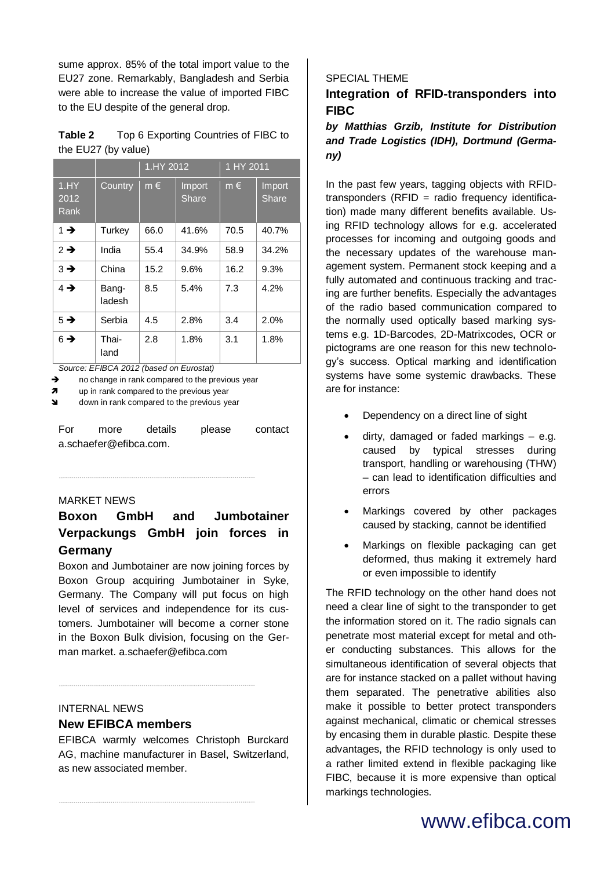sume approx. 85% of the total import value to the EU27 zone. Remarkably, Bangladesh and Serbia were able to increase the value of imported FIBC to the EU despite of the general drop.

| Table 2             | Top 6 Exporting Countries of FIBC to |
|---------------------|--------------------------------------|
| the EU27 (by value) |                                      |

|                       |                 | 1. HY 2012 |                        | 1 HY 2011 |                        |
|-----------------------|-----------------|------------|------------------------|-----------|------------------------|
| 1. HY<br>2012<br>Rank | Country         | $m \in$    | Import<br><b>Share</b> | $m \in$   | Import<br><b>Share</b> |
| $1 \rightarrow$       | Turkey          | 66.0       | 41.6%                  | 70.5      | 40.7%                  |
| $2 \rightarrow$       | India           | 55.4       | 34.9%                  | 58.9      | 34.2%                  |
| $3 \rightarrow$       | China           | 15.2       | 9.6%                   | 16.2      | 9.3%                   |
| $4 \rightarrow$       | Bang-<br>ladesh | 8.5        | 5.4%                   | 7.3       | 4.2%                   |
| $5 \rightarrow$       | Serbia          | 4.5        | 2.8%                   | 3.4       | 2.0%                   |
| $6 \rightarrow$       | Thai-<br>land   | 2.8        | 1.8%                   | 3.1       | 1.8%                   |

*Source: EFIBCA 2012 (based on Eurostat)*

 $\rightarrow$  no change in rank compared to the previous year

 $\pi$  up in rank compared to the previous year

 $\triangleleft$  down in rank compared to the previous year

For more details please contact a.schaefer@efibca.com.

### MARKET NEWS

# **Boxon GmbH and Jumbotainer Verpackungs GmbH join forces in Germany**

Boxon and Jumbotainer are now joining forces by Boxon Group acquiring Jumbotainer in Syke, Germany. The Company will put focus on high level of services and independence for its customers. Jumbotainer will become a corner stone in the Boxon Bulk division, focusing on the German market. [a.schaefer@efibca.com](mailto:a.schaefer@efibca.com)

## INTERNAL NEWS **New EFIBCA members**

EFIBCA warmly welcomes Christoph Burckard AG, machine manufacturer in Basel, Switzerland, as new associated member.

### SPECIAL THEME

## **Integration of RFID-transponders into FIBC**

## *by Matthias Grzib, Institute for Distribution and Trade Logistics (IDH), Dortmund (Germany)*

In the past few years, tagging objects with RFIDtransponders (RFID = radio frequency identification) made many different benefits available. Using RFID technology allows for e.g. accelerated processes for incoming and outgoing goods and the necessary updates of the warehouse management system. Permanent stock keeping and a fully automated and continuous tracking and tracing are further benefits. Especially the advantages of the radio based communication compared to the normally used optically based marking systems e.g. 1D-Barcodes, 2D-Matrixcodes, OCR or pictograms are one reason for this new technology's success. Optical marking and identification systems have some systemic drawbacks. These are for instance:

- Dependency on a direct line of sight
- dirty, damaged or faded markings e.g. caused by typical stresses during transport, handling or warehousing (THW) – can lead to identification difficulties and errors
- Markings covered by other packages caused by stacking, cannot be identified
- Markings on flexible packaging can get deformed, thus making it extremely hard or even impossible to identify

The RFID technology on the other hand does not need a clear line of sight to the transponder to get the information stored on it. The radio signals can penetrate most material except for metal and other conducting substances. This allows for the simultaneous identification of several objects that are for instance stacked on a pallet without having them separated. The penetrative abilities also make it possible to better protect transponders against mechanical, climatic or chemical stresses by encasing them in durable plastic. Despite these advantages, the RFID technology is only used to a rather limited extend in flexible packaging like FIBC, because it is more expensive than optical markings technologies.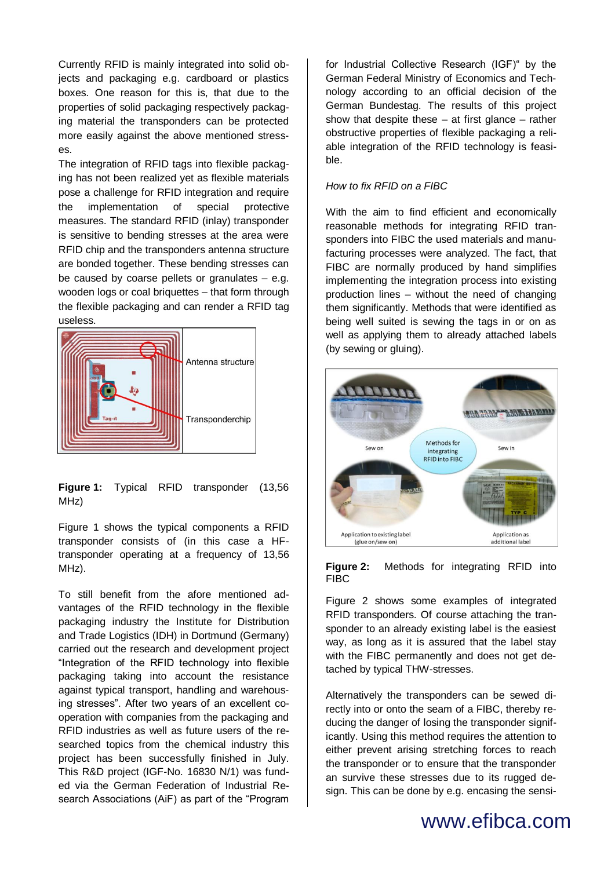Currently RFID is mainly integrated into solid objects and packaging e.g. cardboard or plastics boxes. One reason for this is, that due to the properties of solid packaging respectively packaging material the transponders can be protected more easily against the above mentioned stresses.

The integration of RFID tags into flexible packaging has not been realized yet as flexible materials pose a challenge for RFID integration and require the implementation of special protective measures. The standard RFID (inlay) transponder is sensitive to bending stresses at the area were RFID chip and the transponders antenna structure are bonded together. These bending stresses can be caused by coarse pellets or granulates – e.g. wooden logs or coal briquettes – that form through the flexible packaging and can render a RFID tag useless.



**Figure 1:** Typical RFID transponder (13,56 MHz)

Figure 1 shows the typical components a RFID transponder consists of (in this case a HFtransponder operating at a frequency of 13,56 MHz).

To still benefit from the afore mentioned advantages of the RFID technology in the flexible packaging industry the Institute for Distribution and Trade Logistics (IDH) in Dortmund (Germany) carried out the research and development project "Integration of the RFID technology into flexible packaging taking into account the resistance against typical transport, handling and warehousing stresses". After two years of an excellent cooperation with companies from the packaging and RFID industries as well as future users of the researched topics from the chemical industry this project has been successfully finished in July. This R&D project (IGF-No. 16830 N/1) was funded via the German Federation of Industrial Research Associations (AiF) as part of the "Program

for Industrial Collective Research (IGF)" by the German Federal Ministry of Economics and Technology according to an official decision of the German Bundestag. The results of this project show that despite these – at first glance – rather obstructive properties of flexible packaging a reliable integration of the RFID technology is feasible.

## *How to fix RFID on a FIBC*

With the aim to find efficient and economically reasonable methods for integrating RFID transponders into FIBC the used materials and manufacturing processes were analyzed. The fact, that FIBC are normally produced by hand simplifies implementing the integration process into existing production lines – without the need of changing them significantly. Methods that were identified as being well suited is sewing the tags in or on as well as applying them to already attached labels (by sewing or gluing).



### **Figure 2:** Methods for integrating RFID into **FIBC**

Figure 2 shows some examples of integrated RFID transponders. Of course attaching the transponder to an already existing label is the easiest way, as long as it is assured that the label stay with the FIBC permanently and does not get detached by typical THW-stresses.

Alternatively the transponders can be sewed directly into or onto the seam of a FIBC, thereby reducing the danger of losing the transponder significantly. Using this method requires the attention to either prevent arising stretching forces to reach the transponder or to ensure that the transponder an survive these stresses due to its rugged design. This can be done by e.g. encasing the sensi-

# www.efibca.com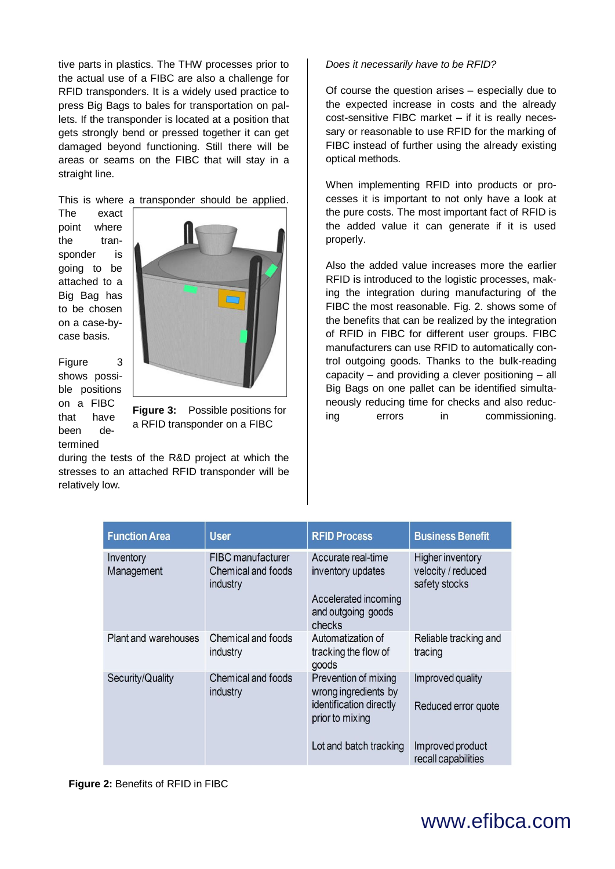tive parts in plastics. The THW processes prior to the actual use of a FIBC are also a challenge for RFID transponders. It is a widely used practice to press Big Bags to bales for transportation on pallets. If the transponder is located at a position that gets strongly bend or pressed together it can get damaged beyond functioning. Still there will be areas or seams on the FIBC that will stay in a straight line.

This is where a transponder should be applied.

The exact point where the transponder is going to be attached to a Big Bag has to be chosen on a case-bycase basis.



Figure 3 shows possible positions on a FIBC that have been determined

**Figure 3:** Possible positions for a RFID transponder on a FIBC

during the tests of the R&D project at which the stresses to an attached RFID transponder will be relatively low.

### *Does it necessarily have to be RFID?*

Of course the question arises – especially due to the expected increase in costs and the already cost-sensitive FIBC market – if it is really necessary or reasonable to use RFID for the marking of FIBC instead of further using the already existing optical methods.

When implementing RFID into products or processes it is important to not only have a look at the pure costs. The most important fact of RFID is the added value it can generate if it is used properly.

Also the added value increases more the earlier RFID is introduced to the logistic processes, making the integration during manufacturing of the FIBC the most reasonable. Fig. 2. shows some of the benefits that can be realized by the integration of RFID in FIBC for different user groups. FIBC manufacturers can use RFID to automatically control outgoing goods. Thanks to the bulk-reading capacity – and providing a clever positioning – all Big Bags on one pallet can be identified simultaneously reducing time for checks and also reducing errors in commissioning.

| <b>Function Area</b>    | <b>User</b>                                                | <b>RFID Process</b>                                                                             | <b>Business Benefit</b>                                        |
|-------------------------|------------------------------------------------------------|-------------------------------------------------------------------------------------------------|----------------------------------------------------------------|
| Inventory<br>Management | <b>FIBC</b> manufacturer<br>Chemical and foods<br>industry | Accurate real-time<br>inventory updates<br>Accelerated incoming<br>and outgoing goods<br>checks | <b>Higher inventory</b><br>velocity / reduced<br>safety stocks |
| Plant and warehouses    | Chemical and foods<br>industry                             | Automatization of<br>tracking the flow of<br>goods                                              | Reliable tracking and<br>tracing                               |
| Security/Quality        | Chemical and foods<br>industry                             | Prevention of mixing<br>wrong ingredients by<br>identification directly<br>prior to mixing      | Improved quality<br>Reduced error quote                        |
|                         |                                                            | Lot and batch tracking                                                                          | Improved product<br>recall capabilities                        |

**Figure 2:** Benefits of RFID in FIBC

# www.efibca.com